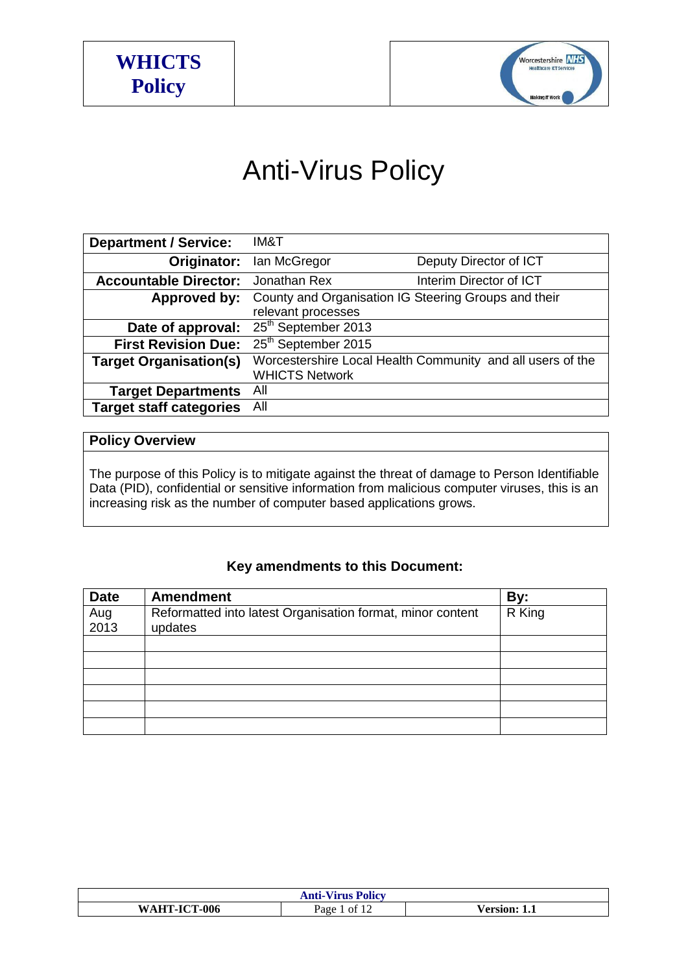



# Anti-Virus Policy

| <b>Department / Service:</b>   | IM&T                                                 |                                                            |
|--------------------------------|------------------------------------------------------|------------------------------------------------------------|
| Originator:                    | lan McGregor                                         | Deputy Director of ICT                                     |
| <b>Accountable Director:</b>   | Jonathan Rex                                         | Interim Director of ICT                                    |
| Approved by:                   | County and Organisation IG Steering Groups and their |                                                            |
|                                | relevant processes                                   |                                                            |
| Date of approval:              | 25 <sup>th</sup> September 2013                      |                                                            |
| <b>First Revision Due:</b>     | 25 <sup>th</sup> September 2015                      |                                                            |
| <b>Target Organisation(s)</b>  |                                                      | Worcestershire Local Health Community and all users of the |
|                                | <b>WHICTS Network</b>                                |                                                            |
| <b>Target Departments</b>      | All                                                  |                                                            |
| <b>Target staff categories</b> | All                                                  |                                                            |

# **Policy Overview**

The purpose of this Policy is to mitigate against the threat of damage to Person Identifiable Data (PID), confidential or sensitive information from malicious computer viruses, this is an increasing risk as the number of computer based applications grows.

# **Key amendments to this Document:**

| <b>Date</b> | <b>Amendment</b>                                           | By:    |
|-------------|------------------------------------------------------------|--------|
| Aug<br>2013 | Reformatted into latest Organisation format, minor content | R King |
|             | updates                                                    |        |
|             |                                                            |        |
|             |                                                            |        |
|             |                                                            |        |
|             |                                                            |        |
|             |                                                            |        |
|             |                                                            |        |

| <b>Anti-Virus Policy</b> |             |                 |
|--------------------------|-------------|-----------------|
| WAHT-ICT-006             | ot.<br>Page | /ersion:<br>1.1 |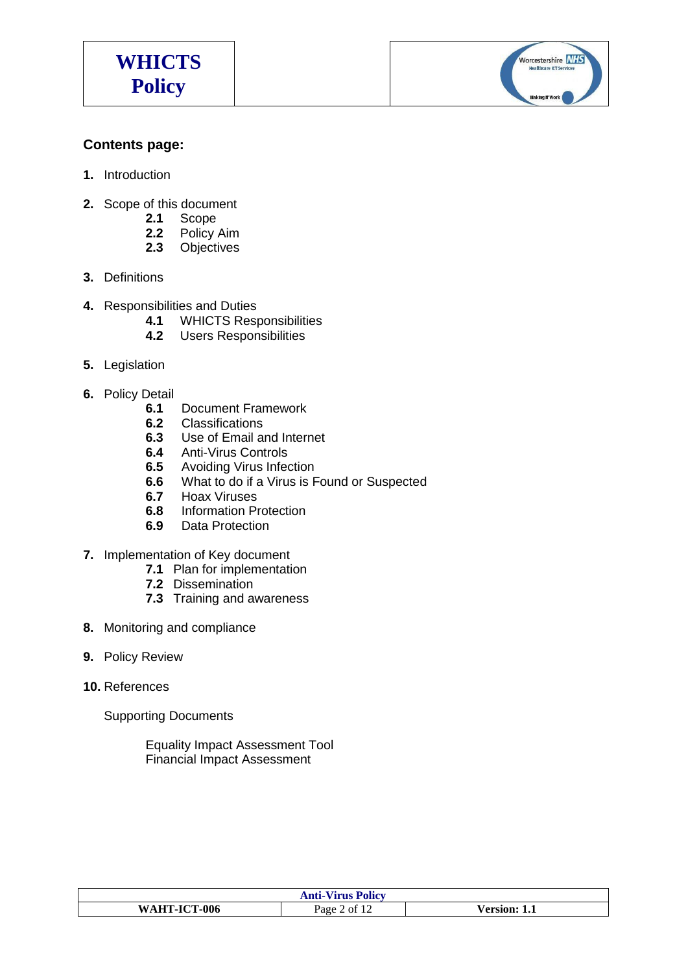

Worcestershire NHS Making IT Work

## **Contents page:**

- **1.** Introduction
- **2.** Scope of this document
	- **2.1** Scope<br>**2.2** Policy
	- **2.2** Policy Aim
	- **2.3** Objectives
- **3.** Definitions
- **4.** Responsibilities and Duties
	- **4.1** WHICTS Responsibilities<br>**4.2** Users Responsibilities
		- **4.2** Users Responsibilities
- **5.** Legislation
- **6.** Policy Detail
	- **6.1** Document Framework
	- **6.2** Classifications
	- **6.3** Use of Email and Internet
	- **6.4** Anti-Virus Controls
	- **6.5** Avoiding Virus Infection
	- **6.6** What to do if a Virus is Found or Suspected
	- **6.7** Hoax Viruses
	- **6.8** Information Protection
	- **6.9** Data Protection
- **7.** Implementation of Key document
	- **7.1** Plan for implementation
	- **7.2** Dissemination
	- **7.3** Training and awareness
- **8.** Monitoring and compliance
- **9.** Policy Review
- **10.** References

Supporting Documents

Equality Impact Assessment Tool Financial Impact Assessment

| <b>Anti-Virus Policy</b> |                 |                 |
|--------------------------|-----------------|-----------------|
| WAHT-ICT-006             | of $12$<br>Page | ersion:/<br>1.1 |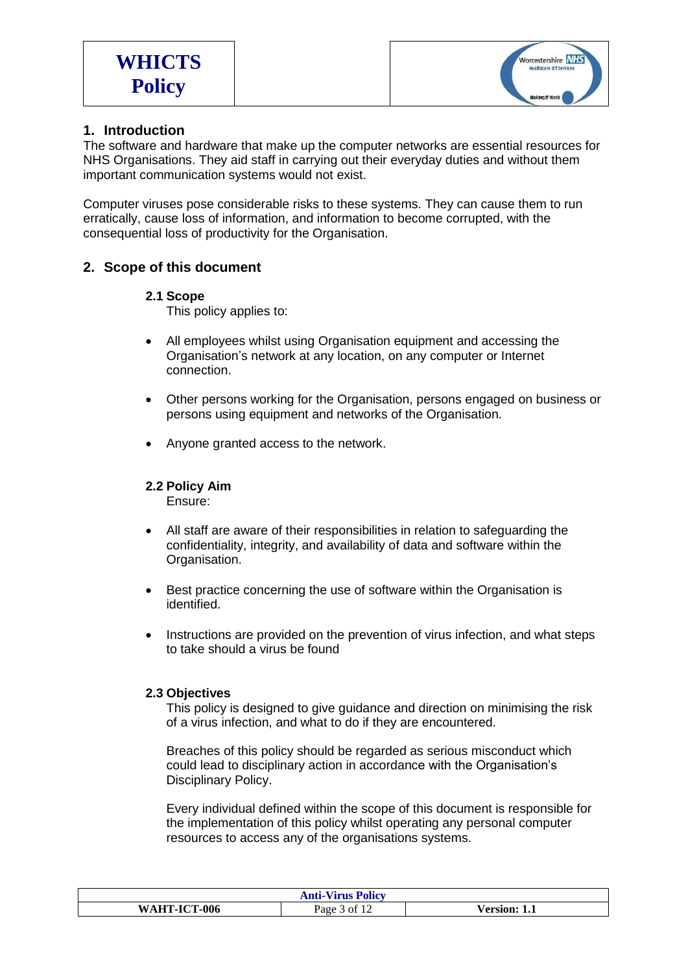

## **1. Introduction**

The software and hardware that make up the computer networks are essential resources for NHS Organisations. They aid staff in carrying out their everyday duties and without them important communication systems would not exist.

Computer viruses pose considerable risks to these systems. They can cause them to run erratically, cause loss of information, and information to become corrupted, with the consequential loss of productivity for the Organisation.

## **2. Scope of this document**

#### **2.1 Scope**

This policy applies to:

- All employees whilst using Organisation equipment and accessing the Organisation's network at any location, on any computer or Internet connection.
- Other persons working for the Organisation, persons engaged on business or persons using equipment and networks of the Organisation.
- Anyone granted access to the network.

#### **2.2 Policy Aim**

Ensure:

- All staff are aware of their responsibilities in relation to safeguarding the confidentiality, integrity, and availability of data and software within the Organisation.
- Best practice concerning the use of software within the Organisation is identified.
- Instructions are provided on the prevention of virus infection, and what steps to take should a virus be found

#### **2.3 Objectives**

This policy is designed to give guidance and direction on minimising the risk of a virus infection, and what to do if they are encountered.

Breaches of this policy should be regarded as serious misconduct which could lead to disciplinary action in accordance with the Organisation's Disciplinary Policy.

Every individual defined within the scope of this document is responsible for the implementation of this policy whilst operating any personal computer resources to access any of the organisations systems.

| T<br>Anti-<br>Policy<br><b>Virus</b>                                          |           |                                |
|-------------------------------------------------------------------------------|-----------|--------------------------------|
| <b>ICT-006</b><br>TIT<br><b>W</b> A<br>$\blacksquare$<br>$-1$<br>$\mathbf{m}$ | age<br>∩t | 0.380<br>$\sim$ slopes.<br>. . |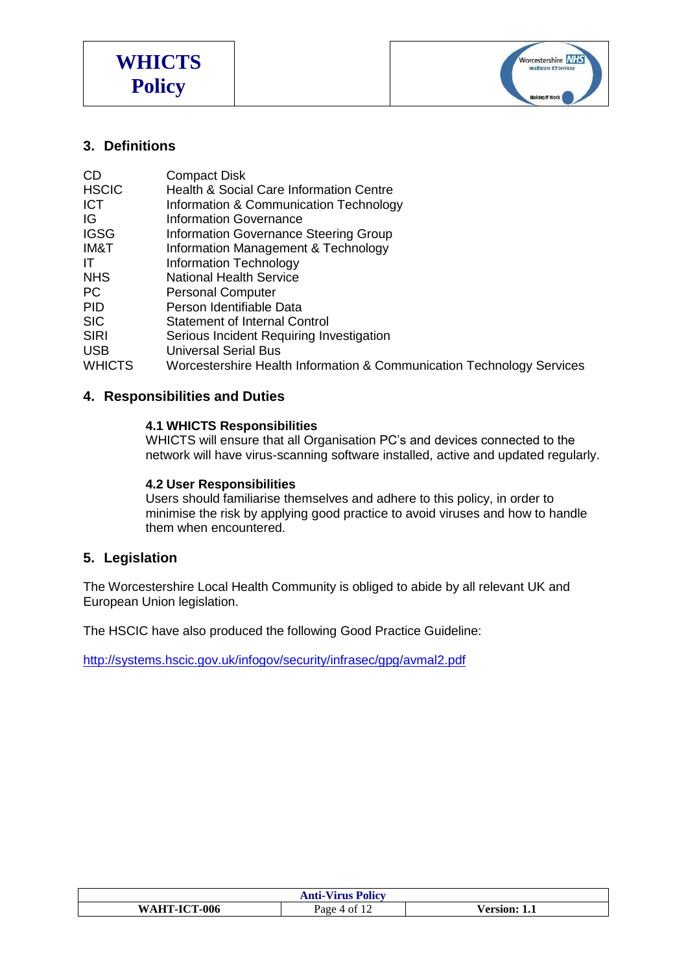



## **3. Definitions**

| <b>CD</b>     | <b>Compact Disk</b>                                                   |
|---------------|-----------------------------------------------------------------------|
| <b>HSCIC</b>  | Health & Social Care Information Centre                               |
| <b>ICT</b>    | Information & Communication Technology                                |
| IG            | <b>Information Governance</b>                                         |
| <b>IGSG</b>   | <b>Information Governance Steering Group</b>                          |
| IM&T          | Information Management & Technology                                   |
| IT            | Information Technology                                                |
| <b>NHS</b>    | <b>National Health Service</b>                                        |
| PC            | <b>Personal Computer</b>                                              |
| <b>PID</b>    | Person Identifiable Data                                              |
| <b>SIC</b>    | <b>Statement of Internal Control</b>                                  |
| <b>SIRI</b>   | Serious Incident Requiring Investigation                              |
| <b>USB</b>    | <b>Universal Serial Bus</b>                                           |
| <b>WHICTS</b> | Worcestershire Health Information & Communication Technology Services |

## **4. Responsibilities and Duties**

#### **4.1 WHICTS Responsibilities**

WHICTS will ensure that all Organisation PC's and devices connected to the network will have virus-scanning software installed, active and updated regularly.

#### **4.2 User Responsibilities**

Users should familiarise themselves and adhere to this policy, in order to minimise the risk by applying good practice to avoid viruses and how to handle them when encountered.

#### **5. Legislation**

The Worcestershire Local Health Community is obliged to abide by all relevant UK and European Union legislation.

The HSCIC have also produced the following Good Practice Guideline:

<http://systems.hscic.gov.uk/infogov/security/infrasec/gpg/avmal2.pdf>

| <b>Anti-Virus Policy</b> |            |                |
|--------------------------|------------|----------------|
| <b>AHT-ICT-006</b><br>W  | ΩŤ<br>Page | ersion:<br>1.1 |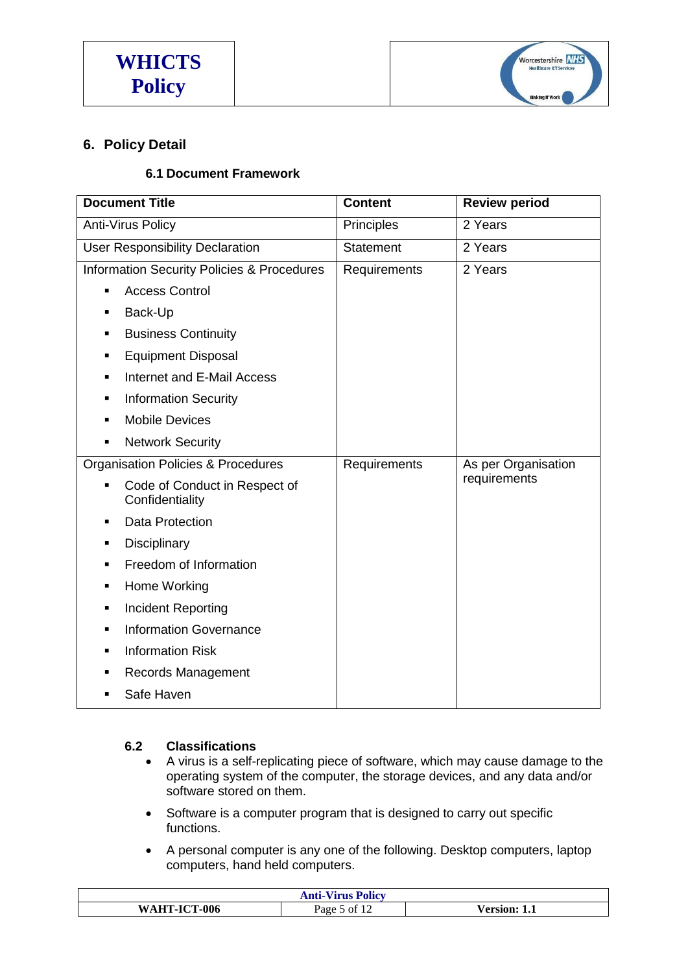

# **6. Policy Detail**

# **6.1 Document Framework**

| <b>Document Title</b>                                              | <b>Content</b>    | <b>Review period</b> |
|--------------------------------------------------------------------|-------------------|----------------------|
| <b>Anti-Virus Policy</b>                                           | <b>Principles</b> | 2 Years              |
| <b>User Responsibility Declaration</b>                             | <b>Statement</b>  | 2 Years              |
| <b>Information Security Policies &amp; Procedures</b>              | Requirements      | 2 Years              |
| <b>Access Control</b><br>п                                         |                   |                      |
| Back-Up<br>$\blacksquare$                                          |                   |                      |
| <b>Business Continuity</b><br>٠                                    |                   |                      |
| <b>Equipment Disposal</b><br>٠                                     |                   |                      |
| <b>Internet and E-Mail Access</b><br>٠                             |                   |                      |
| <b>Information Security</b><br>$\blacksquare$                      |                   |                      |
| <b>Mobile Devices</b>                                              |                   |                      |
| <b>Network Security</b><br>$\blacksquare$                          |                   |                      |
| <b>Organisation Policies &amp; Procedures</b>                      | Requirements      | As per Organisation  |
| Code of Conduct in Respect of<br>$\blacksquare$<br>Confidentiality |                   | requirements         |
| <b>Data Protection</b><br>$\blacksquare$                           |                   |                      |
| Disciplinary<br>$\blacksquare$                                     |                   |                      |
| Freedom of Information<br>$\blacksquare$                           |                   |                      |
| Home Working<br>$\blacksquare$                                     |                   |                      |
| Incident Reporting<br>٠                                            |                   |                      |
| <b>Information Governance</b><br>$\blacksquare$                    |                   |                      |
| <b>Information Risk</b><br>$\blacksquare$                          |                   |                      |
| Records Management<br>$\blacksquare$                               |                   |                      |
| Safe Haven<br>$\blacksquare$                                       |                   |                      |

## **6.2 Classifications**

- A virus is a self-replicating piece of software, which may cause damage to the operating system of the computer, the storage devices, and any data and/or software stored on them.
- Software is a computer program that is designed to carry out specific functions.
- A personal computer is any one of the following. Desktop computers, laptop computers, hand held computers.

| Anti-Vi<br><b>Virus Policy</b> |            |             |
|--------------------------------|------------|-------------|
| -006<br>.1СТ.<br>W ^           | Page<br>∩Ť | -1.1<br>sıc |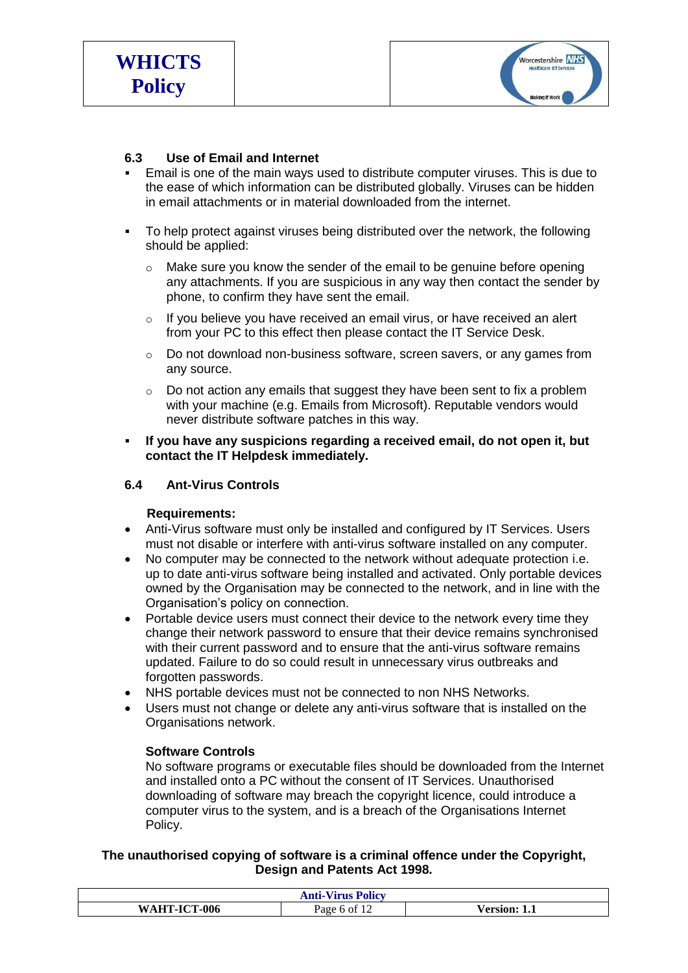

## **6.3 Use of Email and Internet**

- Email is one of the main ways used to distribute computer viruses. This is due to the ease of which information can be distributed globally. Viruses can be hidden in email attachments or in material downloaded from the internet.
- To help protect against viruses being distributed over the network, the following should be applied:
	- $\circ$  Make sure you know the sender of the email to be genuine before opening any attachments. If you are suspicious in any way then contact the sender by phone, to confirm they have sent the email.
	- $\circ$  If you believe you have received an email virus, or have received an alert from your PC to this effect then please contact the IT Service Desk.
	- o Do not download non-business software, screen savers, or any games from any source.
	- o Do not action any emails that suggest they have been sent to fix a problem with your machine (e.g. Emails from Microsoft). Reputable vendors would never distribute software patches in this way.
- **If you have any suspicions regarding a received email, do not open it, but contact the IT Helpdesk immediately.**

#### **6.4 Ant-Virus Controls**

#### **Requirements:**

- Anti-Virus software must only be installed and configured by IT Services. Users must not disable or interfere with anti-virus software installed on any computer.
- No computer may be connected to the network without adequate protection i.e. up to date anti-virus software being installed and activated. Only portable devices owned by the Organisation may be connected to the network, and in line with the Organisation's policy on connection.
- Portable device users must connect their device to the network every time they change their network password to ensure that their device remains synchronised with their current password and to ensure that the anti-virus software remains updated. Failure to do so could result in unnecessary virus outbreaks and forgotten passwords.
- NHS portable devices must not be connected to non NHS Networks.
- Users must not change or delete any anti-virus software that is installed on the Organisations network.

#### **Software Controls**

No software programs or executable files should be downloaded from the Internet and installed onto a PC without the consent of IT Services. Unauthorised downloading of software may breach the copyright licence, could introduce a computer virus to the system, and is a breach of the Organisations Internet Policy.

**The unauthorised copying of software is a criminal offence under the Copyright, Design and Patents Act 1998.**

| T<br><b>Policy</b><br>Anti- <sup>1</sup><br>/irus |               |              |
|---------------------------------------------------|---------------|--------------|
| <b>`-ICT-006</b><br>W∆<br><b>TITT</b>             | ി<br>age<br>n | sion:<br>1.1 |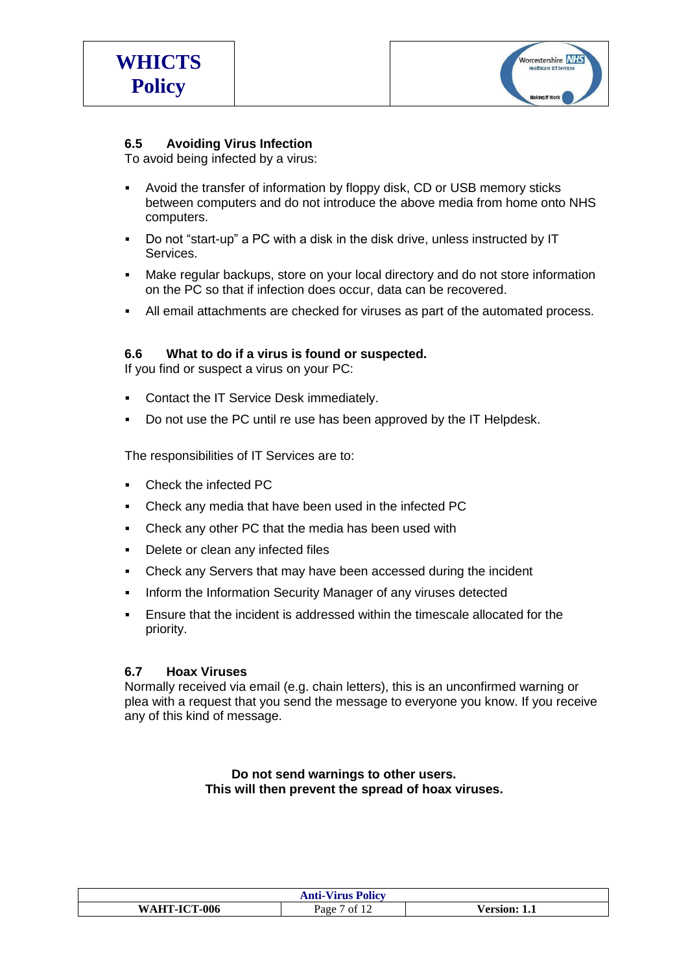

## **6.5 Avoiding Virus Infection**

To avoid being infected by a virus:

- Avoid the transfer of information by floppy disk, CD or USB memory sticks between computers and do not introduce the above media from home onto NHS computers.
- Do not "start-up" a PC with a disk in the disk drive, unless instructed by IT Services.
- Make regular backups, store on your local directory and do not store information on the PC so that if infection does occur, data can be recovered.
- All email attachments are checked for viruses as part of the automated process.

#### **6.6 What to do if a virus is found or suspected.**

If you find or suspect a virus on your PC:

- Contact the IT Service Desk immediately.
- Do not use the PC until re use has been approved by the IT Helpdesk.

The responsibilities of IT Services are to:

- Check the infected PC
- Check any media that have been used in the infected PC
- Check any other PC that the media has been used with
- Delete or clean any infected files
- Check any Servers that may have been accessed during the incident
- **Inform the Information Security Manager of any viruses detected**
- Ensure that the incident is addressed within the timescale allocated for the priority.

#### **6.7 Hoax Viruses**

Normally received via email (e.g. chain letters), this is an unconfirmed warning or plea with a request that you send the message to everyone you know. If you receive any of this kind of message.

#### **Do not send warnings to other users. This will then prevent the spread of hoax viruses.**

| -Virus Policy<br>Anti                     |                               |                  |
|-------------------------------------------|-------------------------------|------------------|
| -006<br>$AHT-ICT$<br>$\mathbf{W}$ $\iota$ | $\sim$ 1 $\sim$<br>Page<br>Οİ | A<br>-sion*<br>. |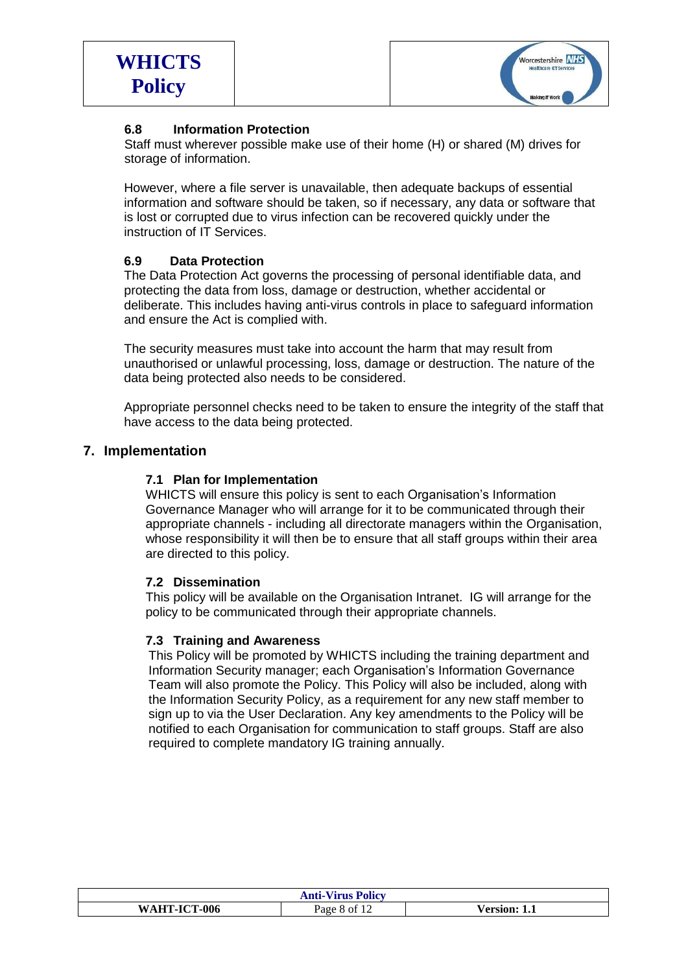

## **6.8 Information Protection**

Staff must wherever possible make use of their home (H) or shared (M) drives for storage of information.

However, where a file server is unavailable, then adequate backups of essential information and software should be taken, so if necessary, any data or software that is lost or corrupted due to virus infection can be recovered quickly under the instruction of IT Services.

#### **6.9 Data Protection**

The Data Protection Act governs the processing of personal identifiable data, and protecting the data from loss, damage or destruction, whether accidental or deliberate. This includes having anti-virus controls in place to safeguard information and ensure the Act is complied with.

The security measures must take into account the harm that may result from unauthorised or unlawful processing, loss, damage or destruction. The nature of the data being protected also needs to be considered.

Appropriate personnel checks need to be taken to ensure the integrity of the staff that have access to the data being protected.

## **7. Implementation**

#### **7.1 Plan for Implementation**

WHICTS will ensure this policy is sent to each Organisation's Information Governance Manager who will arrange for it to be communicated through their appropriate channels - including all directorate managers within the Organisation, whose responsibility it will then be to ensure that all staff groups within their area are directed to this policy.

#### **7.2 Dissemination**

This policy will be available on the Organisation Intranet. IG will arrange for the policy to be communicated through their appropriate channels.

#### **7.3 Training and Awareness**

This Policy will be promoted by WHICTS including the training department and Information Security manager; each Organisation's Information Governance Team will also promote the Policy. This Policy will also be included, along with the Information Security Policy, as a requirement for any new staff member to sign up to via the User Declaration. Any key amendments to the Policy will be notified to each Organisation for communication to staff groups. Staff are also required to complete mandatory IG training annually.

| <b>Anti-Virus Policy</b> |                                |                    |
|--------------------------|--------------------------------|--------------------|
| WAHT-ICT-006             | Page<br>`ot 12<br>$\mathbf{x}$ | $\ell$ ersion: 1.1 |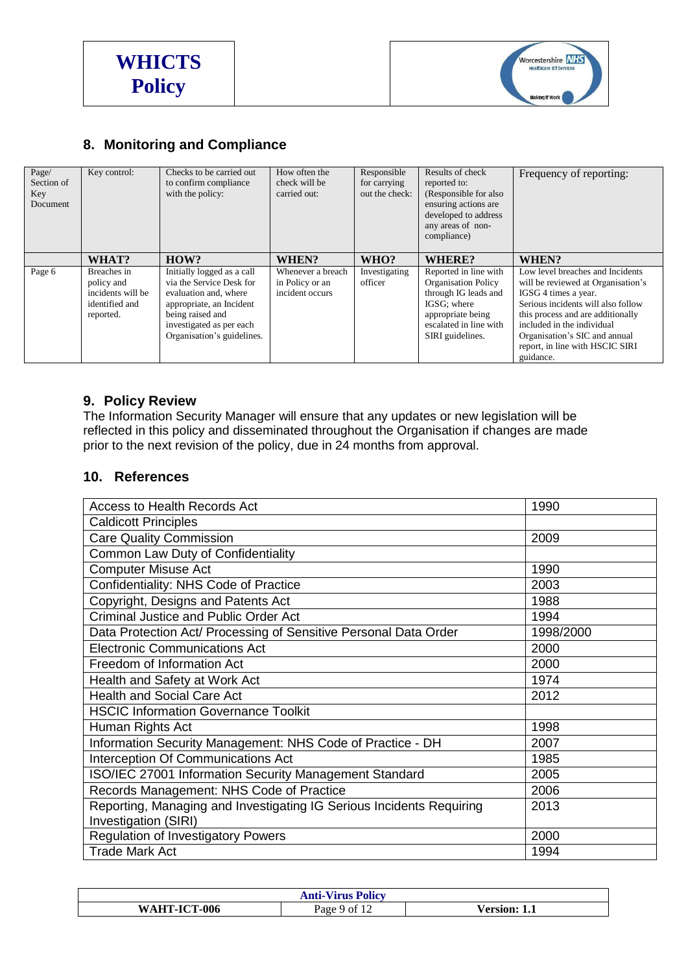



# **8. Monitoring and Compliance**

| Page/<br>Section of<br>Key<br>Document | Key control:                                                                  | Checks to be carried out<br>to confirm compliance<br>with the policy:                                                                                                                     | How often the<br>check will be<br>carried out:          | Responsible<br>for carrying<br>out the check: | Results of check<br>reported to:<br>(Responsible for also<br>ensuring actions are.<br>developed to address<br>any areas of non-<br>compliance)                | Frequency of reporting:                                                                                                                                                                                                                                                                  |
|----------------------------------------|-------------------------------------------------------------------------------|-------------------------------------------------------------------------------------------------------------------------------------------------------------------------------------------|---------------------------------------------------------|-----------------------------------------------|---------------------------------------------------------------------------------------------------------------------------------------------------------------|------------------------------------------------------------------------------------------------------------------------------------------------------------------------------------------------------------------------------------------------------------------------------------------|
|                                        | WHAT?                                                                         | HOW?                                                                                                                                                                                      | WHEN?                                                   | WHO?                                          | WHERE?                                                                                                                                                        | WHEN?                                                                                                                                                                                                                                                                                    |
| Page 6                                 | Breaches in<br>policy and<br>incidents will be<br>identified and<br>reported. | Initially logged as a call<br>via the Service Desk for<br>evaluation and, where<br>appropriate, an Incident<br>being raised and<br>investigated as per each<br>Organisation's guidelines. | Whenever a breach<br>in Policy or an<br>incident occurs | Investigating<br>officer                      | Reported in line with<br><b>Organisation Policy</b><br>through IG leads and<br>IGSG: where<br>appropriate being<br>escalated in line with<br>SIRI guidelines. | Low level breaches and Incidents<br>will be reviewed at Organisation's<br>IGSG 4 times a year.<br>Serious incidents will also follow<br>this process and are additionally<br>included in the individual<br>Organisation's SIC and annual<br>report, in line with HSCIC SIRI<br>guidance. |

## **9. Policy Review**

The Information Security Manager will ensure that any updates or new legislation will be reflected in this policy and disseminated throughout the Organisation if changes are made prior to the next revision of the policy, due in 24 months from approval.

## **10. References**

| Access to Health Records Act                                         | 1990      |
|----------------------------------------------------------------------|-----------|
| <b>Caldicott Principles</b>                                          |           |
| <b>Care Quality Commission</b>                                       | 2009      |
| Common Law Duty of Confidentiality                                   |           |
| <b>Computer Misuse Act</b>                                           | 1990      |
| Confidentiality: NHS Code of Practice                                | 2003      |
| Copyright, Designs and Patents Act                                   | 1988      |
| <b>Criminal Justice and Public Order Act</b>                         | 1994      |
| Data Protection Act/ Processing of Sensitive Personal Data Order     | 1998/2000 |
| <b>Electronic Communications Act</b>                                 | 2000      |
| Freedom of Information Act                                           | 2000      |
| Health and Safety at Work Act                                        | 1974      |
| <b>Health and Social Care Act</b>                                    | 2012      |
| <b>HSCIC Information Governance Toolkit</b>                          |           |
| Human Rights Act                                                     | 1998      |
| Information Security Management: NHS Code of Practice - DH           | 2007      |
| Interception Of Communications Act                                   | 1985      |
| ISO/IEC 27001 Information Security Management Standard               | 2005      |
| Records Management: NHS Code of Practice                             | 2006      |
| Reporting, Managing and Investigating IG Serious Incidents Requiring | 2013      |
| Investigation (SIRI)                                                 |           |
| <b>Regulation of Investigatory Powers</b>                            | 2000      |
| <b>Trade Mark Act</b>                                                | 1994      |

| <b>Anti-Virus Policy</b> |      |          |  |
|--------------------------|------|----------|--|
| <b>-ICT-006</b>          | Page | √ersion: |  |
| WAHT-                    | Y 01 | 1.1      |  |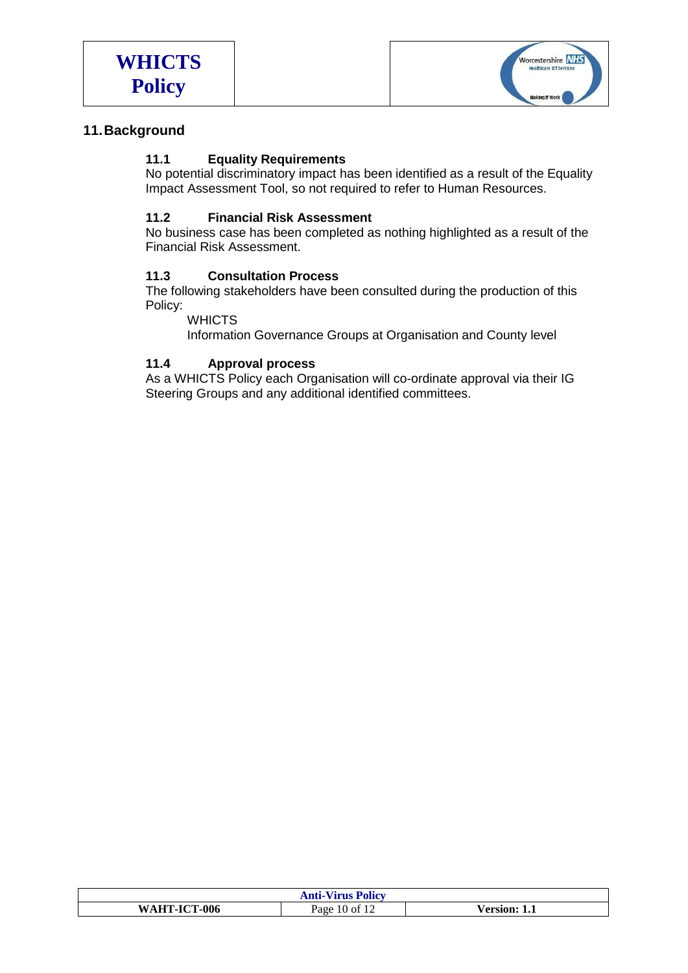



## **11.Background**

## **11.1 Equality Requirements**

No potential discriminatory impact has been identified as a result of the Equality Impact Assessment Tool, so not required to refer to Human Resources.

#### **11.2 Financial Risk Assessment**

No business case has been completed as nothing highlighted as a result of the Financial Risk Assessment.

#### **11.3 Consultation Process**

The following stakeholders have been consulted during the production of this Policy:

**WHICTS** 

Information Governance Groups at Organisation and County level

#### **11.4 Approval process**

As a WHICTS Policy each Organisation will co-ordinate approval via their IG Steering Groups and any additional identified committees.

| <b>Anti-Virus Policy</b> |                             |                |  |
|--------------------------|-----------------------------|----------------|--|
| WAHT-ICT-006             | Page<br>$10 \text{ of } 12$ | Version: \<br> |  |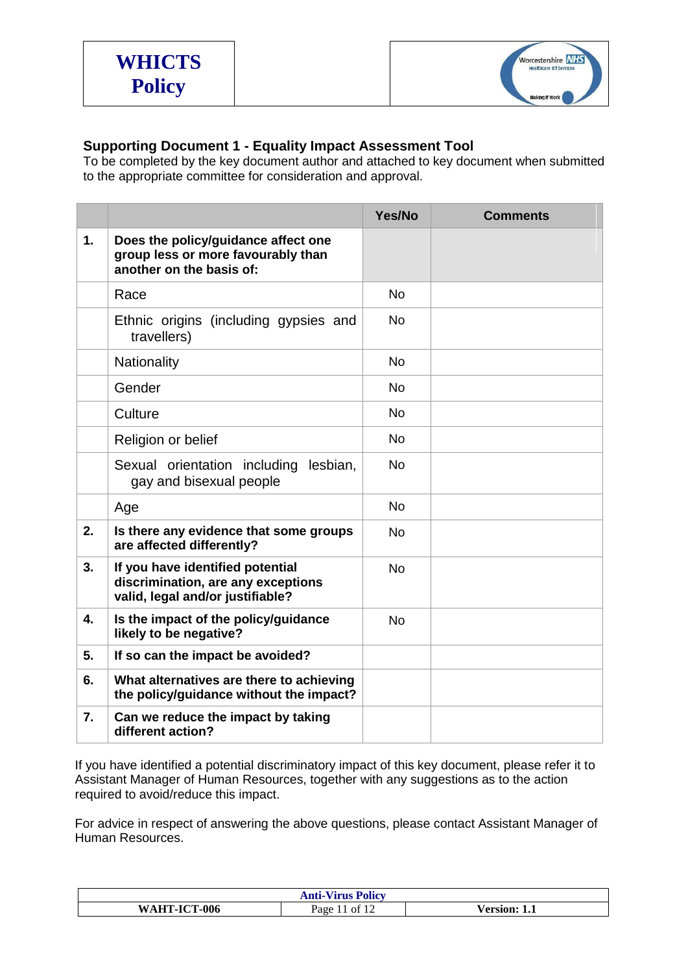

# **Supporting Document 1 - Equality Impact Assessment Tool**

To be completed by the key document author and attached to key document when submitted to the appropriate committee for consideration and approval.

|                           |                                                                                                            | Yes/No    | <b>Comments</b> |
|---------------------------|------------------------------------------------------------------------------------------------------------|-----------|-----------------|
| 1.                        | Does the policy/guidance affect one<br>group less or more favourably than<br>another on the basis of:      |           |                 |
|                           | Race                                                                                                       | <b>No</b> |                 |
|                           | Ethnic origins (including gypsies and<br>travellers)                                                       | <b>No</b> |                 |
|                           | Nationality                                                                                                | <b>No</b> |                 |
|                           | Gender                                                                                                     | <b>No</b> |                 |
|                           | Culture                                                                                                    | <b>No</b> |                 |
|                           | Religion or belief                                                                                         | <b>No</b> |                 |
|                           | Sexual orientation including<br>lesbian.<br>gay and bisexual people                                        | <b>No</b> |                 |
|                           | Age                                                                                                        | <b>No</b> |                 |
| 2.                        | Is there any evidence that some groups<br>are affected differently?                                        | <b>No</b> |                 |
| 3.                        | If you have identified potential<br>discrimination, are any exceptions<br>valid, legal and/or justifiable? | <b>No</b> |                 |
| $\overline{\mathbf{4}}$ . | Is the impact of the policy/guidance<br>likely to be negative?                                             | <b>No</b> |                 |
| 5.                        | If so can the impact be avoided?                                                                           |           |                 |
| 6.                        | What alternatives are there to achieving<br>the policy/guidance without the impact?                        |           |                 |
| 7.                        | Can we reduce the impact by taking<br>different action?                                                    |           |                 |

If you have identified a potential discriminatory impact of this key document, please refer it to Assistant Manager of Human Resources, together with any suggestions as to the action required to avoid/reduce this impact.

For advice in respect of answering the above questions, please contact Assistant Manager of Human Resources.

| <b>Anti-Virus Policy</b> |      |          |  |
|--------------------------|------|----------|--|
| <b>AHT-ICT-006</b>       | Page | √ersion· |  |
| W                        | nt.  | -1.1     |  |